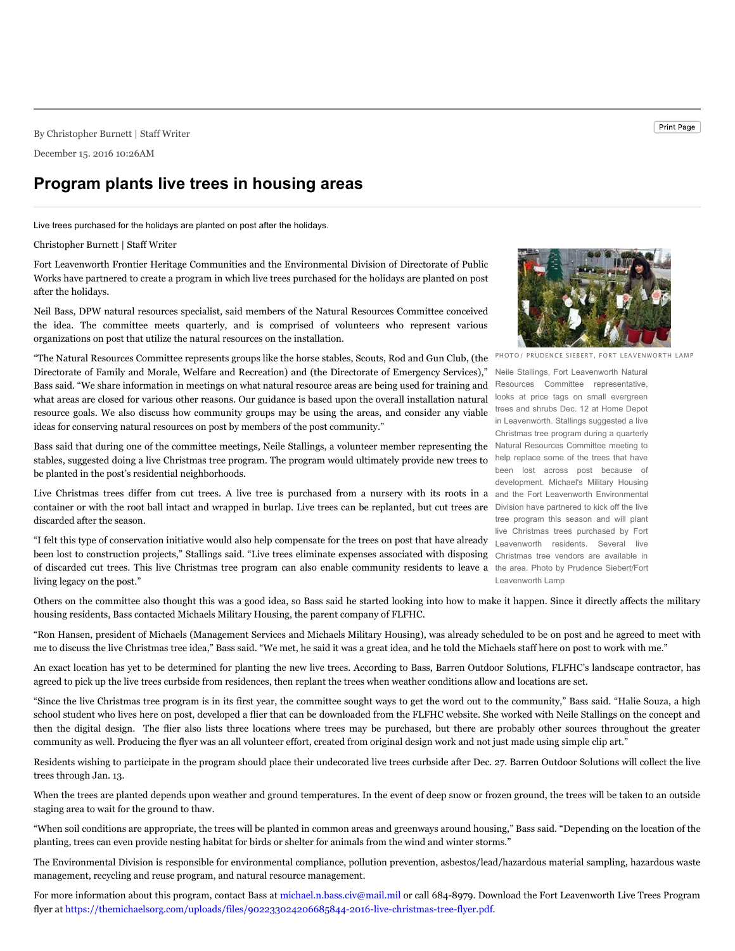By Christopher Burnett | Staff Writer

December 15. 2016 10:26AM

## **Program plants live trees in housing areas**

Live trees purchased for the holidays are planted on post after the holidays.

## Christopher Burnett | Staff Writer

Fort Leavenworth Frontier Heritage Communities and the Environmental Division of Directorate of Public Works have partnered to create a program in which live trees purchased for the holidays are planted on post after the holidays.

Neil Bass, DPW natural resources specialist, said members of the Natural Resources Committee conceived the idea. The committee meets quarterly, and is comprised of volunteers who represent various organizations on post that utilize the natural resources on the installation.

resource goals. We also discuss how community groups may be using the areas, and consider any viable trees and shrubs Dec. 12 at Home Depot "The Natural Resources Committee represents groups like the horse stables, Scouts, Rod and Gun Club, (the Directorate of Family and Morale, Welfare and Recreation) and (the Directorate of Emergency Services)," Bass said. "We share information in meetings on what natural resource areas are being used for training and what areas are closed for various other reasons. Our guidance is based upon the overall installation natural ideas for conserving natural resources on post by members of the post community."

Bass said that during one of the committee meetings, Neile Stallings, a volunteer member representing the Natural Resources Committee meeting to stables, suggested doing a live Christmas tree program. The program would ultimately provide new trees to help replace some of the trees that have be planted in the post's residential neighborhoods.

Live Christmas trees differ from cut trees. A live tree is purchased from a nursery with its roots in a and the Fort Leavenworth Environmental container or with the root ball intact and wrapped in burlap. Live trees can be replanted, but cut trees are Division have partnered to kick off the live discarded after the season.

"I felt this type of conservation initiative would also help compensate for the trees on post that have already Leavenworth residents. Several live been lost to construction projects," Stallings said. "Live trees eliminate expenses associated with disposing Christmas tree vendors are available in of discarded cut trees. This live Christmas tree program can also enable community residents to leave a the area. Photo by Prudence Siebert/Fort living legacy on the post."



PHOTO/ PRUDENCE SIEBERT, FORT LEAVENWORTH LAMP

Neile Stallings, Fort Leavenworth Natural Resources Committee representative, looks at price tags on small evergreen in Leavenworth. Stallings suggested a live Christmas tree program during a quarterly been lost across post because of development. Michael's Military Housing tree program this season and will plant live Christmas trees purchased by Fort Leavenworth Lamp

Others on the committee also thought this was a good idea, so Bass said he started looking into how to make it happen. Since it directly affects the military housing residents, Bass contacted Michaels Military Housing, the parent company of FLFHC.

"Ron Hansen, president of Michaels (Management Services and Michaels Military Housing), was already scheduled to be on post and he agreed to meet with me to discuss the live Christmas tree idea," Bass said. "We met, he said it was a great idea, and he told the Michaels staff here on post to work with me."

An exact location has yet to be determined for planting the new live trees. According to Bass, Barren Outdoor Solutions, FLFHC's landscape contractor, has agreed to pick up the live trees curbside from residences, then replant the trees when weather conditions allow and locations are set.

"Since the live Christmas tree program is in its first year, the committee sought ways to get the word out to the community," Bass said. "Halie Souza, a high school student who lives here on post, developed a flier that can be downloaded from the FLFHC website. She worked with Neile Stallings on the concept and then the digital design. The flier also lists three locations where trees may be purchased, but there are probably other sources throughout the greater community as well. Producing the flyer was an all volunteer effort, created from original design work and not just made using simple clip art."

Residents wishing to participate in the program should place their undecorated live trees curbside after Dec. 27. Barren Outdoor Solutions will collect the live trees through Jan. 13.

When the trees are planted depends upon weather and ground temperatures. In the event of deep snow or frozen ground, the trees will be taken to an outside staging area to wait for the ground to thaw.

"When soil conditions are appropriate, the trees will be planted in common areas and greenways around housing," Bass said. "Depending on the location of the planting, trees can even provide nesting habitat for birds or shelter for animals from the wind and winter storms."

The Environmental Division is responsible for environmental compliance, pollution prevention, asbestos/lead/hazardous material sampling, hazardous waste management, recycling and reuse program, and natural resource management.

For more information about this program, contact Bass at michael.n.bass.civ@mail.mil or call 684-8979. Download the Fort Leavenworth Live Trees Program flyer at https://themichaelsorg.com/uploads/files/902233024206685844-2016-live-christmas-tree-flyer.pdf.

Print Page